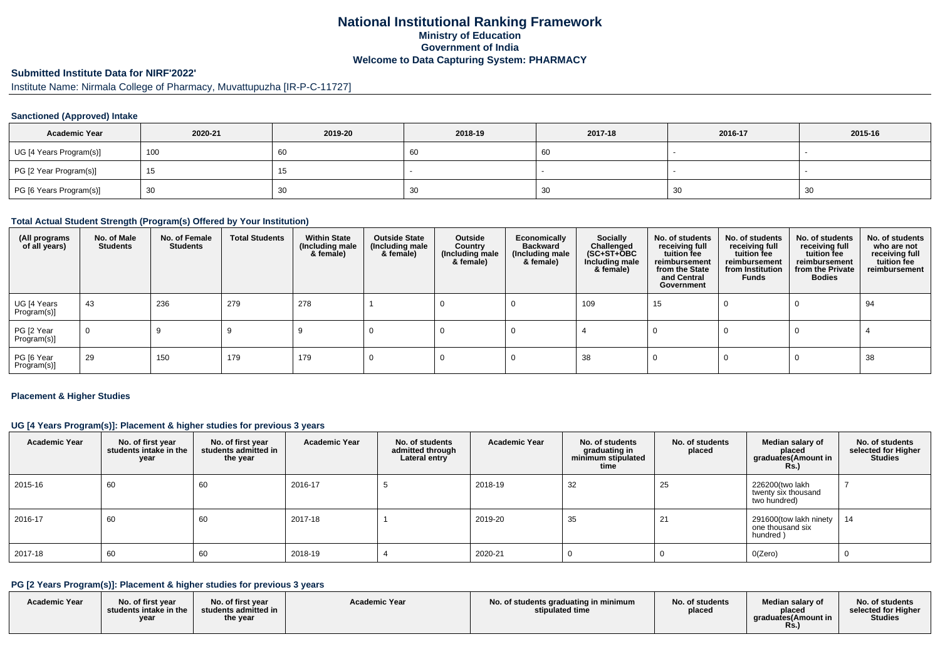## **National Institutional Ranking FrameworkMinistry of Education Government of IndiaWelcome to Data Capturing System: PHARMACY**

# **Submitted Institute Data for NIRF'2022'**

Institute Name: Nirmala College of Pharmacy, Muvattupuzha [IR-P-C-11727]

#### **Sanctioned (Approved) Intake**

| <b>Academic Year</b>    | 2020-21 | 2019-20 | 2018-19 | 2017-18 | 2016-17 | 2015-16   |
|-------------------------|---------|---------|---------|---------|---------|-----------|
| UG [4 Years Program(s)] | 100     | 60      | 60      | 66      |         |           |
| PG [2 Year Program(s)]  | 15      | 10      |         |         |         |           |
| PG [6 Years Program(s)] | 30      | 30      | 30      | ാ∪      | 30      | -21<br>ັບ |

#### **Total Actual Student Strength (Program(s) Offered by Your Institution)**

| (All programs<br>of all years) | No. of Male<br><b>Students</b> | No. of Female<br>Students | <b>Total Students</b> | <b>Within State</b><br>(Including male<br>& female) | <b>Outside State</b><br>(Including male<br>& female) | Outside<br>Country<br>(Including male<br>& female) | Economically<br><b>Backward</b><br>(Including male<br>& female) | <b>Socially</b><br>Challenged<br>$(SC+ST+\tilde{O}BC)$<br>Including male<br>& female) | No. of students<br>receiving full<br>tuition fee<br>reimbursement<br>from the State<br>and Central<br>Government | No. of students<br>receiving full<br>tuition fee<br>reimbursement<br>from Institution<br>Funds | No. of students<br>receiving full<br>tuition fee<br>reimbursement<br>from the Private<br><b>Bodies</b> | No. of students<br>who are not<br>receiving full<br>tuition fee<br>reimbursement |
|--------------------------------|--------------------------------|---------------------------|-----------------------|-----------------------------------------------------|------------------------------------------------------|----------------------------------------------------|-----------------------------------------------------------------|---------------------------------------------------------------------------------------|------------------------------------------------------------------------------------------------------------------|------------------------------------------------------------------------------------------------|--------------------------------------------------------------------------------------------------------|----------------------------------------------------------------------------------|
| UG [4 Years<br>Program(s)]     | 43                             | 236                       | 279                   | 278                                                 |                                                      |                                                    |                                                                 | 109                                                                                   | 15                                                                                                               |                                                                                                |                                                                                                        | 94                                                                               |
| PG [2 Year<br>Program(s)]      | $\overline{0}$                 |                           |                       |                                                     |                                                      |                                                    |                                                                 |                                                                                       |                                                                                                                  |                                                                                                |                                                                                                        |                                                                                  |
| PG [6 Year<br>Program(s)]      | 29                             | 150                       | 179                   | 179                                                 |                                                      |                                                    |                                                                 | 38                                                                                    |                                                                                                                  |                                                                                                |                                                                                                        | 38                                                                               |

#### **Placement & Higher Studies**

#### **UG [4 Years Program(s)]: Placement & higher studies for previous 3 years**

| <b>Academic Year</b> | No. of first year<br>students intake in the<br>year | No. of first vear<br>students admitted in<br>the year | <b>Academic Year</b> | No. of students<br>admitted through<br>Lateral entry | <b>Academic Year</b> | No. of students<br>graduating in<br>minimum stipulated<br>time | No. of students<br>placed | Median salary of<br>placed<br>graduates(Amount in<br>R <sub>S</sub> | No. of students<br>selected for Higher<br><b>Studies</b> |
|----------------------|-----------------------------------------------------|-------------------------------------------------------|----------------------|------------------------------------------------------|----------------------|----------------------------------------------------------------|---------------------------|---------------------------------------------------------------------|----------------------------------------------------------|
| 2015-16              | 60                                                  | 60                                                    | 2016-17              |                                                      | 2018-19              | 32                                                             | 25                        | 226200(two lakh<br>twenty six thousand<br>two hundred)              |                                                          |
| 2016-17              | 60                                                  | 60                                                    | 2017-18              |                                                      | 2019-20              | 35                                                             |                           | 291600(tow lakh ninety<br>one thousand six<br>hundred)              | 14                                                       |
| 2017-18              | 60                                                  | 60                                                    | 2018-19              |                                                      | 2020-21              |                                                                |                           | O(Zero)                                                             |                                                          |

#### **PG [2 Years Program(s)]: Placement & higher studies for previous 3 years**

| <b>Academic Year</b> | No. of first year<br>students intake in the<br>year | No. of first year<br>students admitted in<br>the year | <b>Academic Year</b> | No. of students graduating in minimum<br>stipulated time | No. of students<br>placed | Median salarv of<br>placed<br>araduates(Amount in<br><b>Rs.</b> ) | No. of students<br>selected for Higher<br><b>Studies</b> |
|----------------------|-----------------------------------------------------|-------------------------------------------------------|----------------------|----------------------------------------------------------|---------------------------|-------------------------------------------------------------------|----------------------------------------------------------|
|----------------------|-----------------------------------------------------|-------------------------------------------------------|----------------------|----------------------------------------------------------|---------------------------|-------------------------------------------------------------------|----------------------------------------------------------|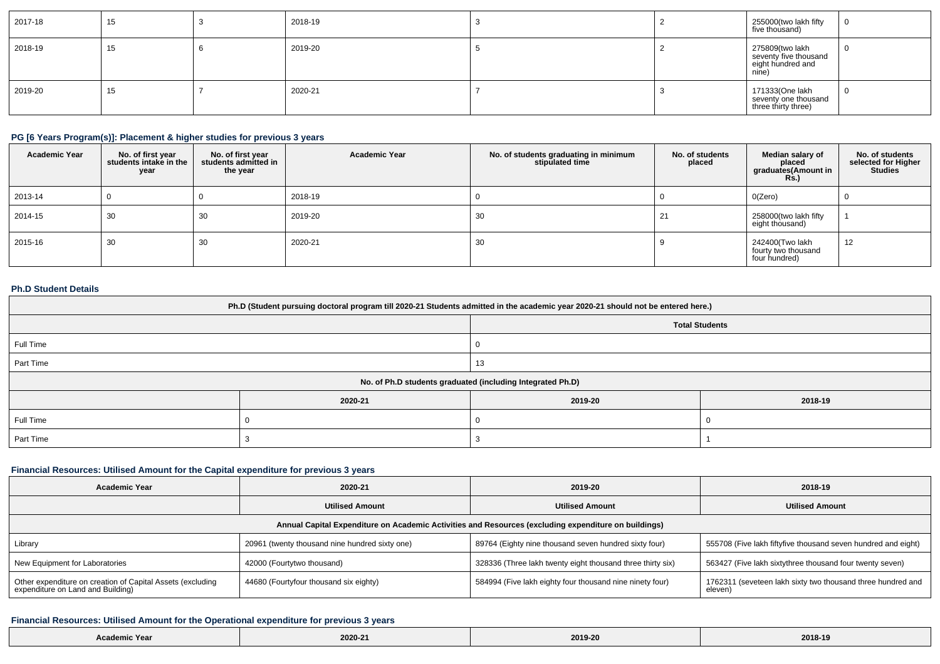| 2017-18 | 15 | 2018-19 |  | 255000(two lakh fifty<br>five thousand)                                | $\bf{0}$ |
|---------|----|---------|--|------------------------------------------------------------------------|----------|
| 2018-19 | 15 | 2019-20 |  | 275809(two lakh<br>seventy five thousand<br>eight hundred and<br>nine) | 0        |
| 2019-20 | 15 | 2020-21 |  | 171333(One lakh<br>seventy one thousand<br>three thirty three)         | - U      |

#### **PG [6 Years Program(s)]: Placement & higher studies for previous 3 years**

| <b>Academic Year</b> | No. of first year<br>students intake in the<br>year | No. of first year<br>students admitted in<br>the year | <b>Academic Year</b> | No. of students graduating in minimum<br>stipulated time | No. of students<br>placed | Median salary of<br>placed<br>graduates(Amount in<br>Rs. | No. of students<br>selected for Higher<br><b>Studies</b> |
|----------------------|-----------------------------------------------------|-------------------------------------------------------|----------------------|----------------------------------------------------------|---------------------------|----------------------------------------------------------|----------------------------------------------------------|
| 2013-14              |                                                     |                                                       | 2018-19              |                                                          |                           | 0(Zero)                                                  |                                                          |
| 2014-15              | 30                                                  | 30                                                    | 2019-20              | 30                                                       |                           | 258000(two lakh fifty<br>eight thousand)                 |                                                          |
| 2015-16              | 30                                                  | 30                                                    | 2020-21              | 30                                                       |                           | 242400(Two lakh<br>fourty two thousand<br>four hundred)  | 12                                                       |

#### **Ph.D Student Details**

| Ph.D (Student pursuing doctoral program till 2020-21 Students admitted in the academic year 2020-21 should not be entered here.) |                                                            |         |         |  |  |  |
|----------------------------------------------------------------------------------------------------------------------------------|------------------------------------------------------------|---------|---------|--|--|--|
| <b>Total Students</b>                                                                                                            |                                                            |         |         |  |  |  |
| Full Time                                                                                                                        |                                                            |         |         |  |  |  |
| Part Time                                                                                                                        | 13                                                         |         |         |  |  |  |
|                                                                                                                                  | No. of Ph.D students graduated (including Integrated Ph.D) |         |         |  |  |  |
|                                                                                                                                  | 2020-21                                                    | 2019-20 | 2018-19 |  |  |  |
| Full Time                                                                                                                        |                                                            |         |         |  |  |  |
| Part Time                                                                                                                        |                                                            |         |         |  |  |  |

## **Financial Resources: Utilised Amount for the Capital expenditure for previous 3 years**

| <b>Academic Year</b>                                                                                 | 2020-21                                        | 2019-20                                                    | 2018-19                                                                |  |  |  |  |
|------------------------------------------------------------------------------------------------------|------------------------------------------------|------------------------------------------------------------|------------------------------------------------------------------------|--|--|--|--|
|                                                                                                      | <b>Utilised Amount</b>                         | <b>Utilised Amount</b>                                     | <b>Utilised Amount</b>                                                 |  |  |  |  |
| Annual Capital Expenditure on Academic Activities and Resources (excluding expenditure on buildings) |                                                |                                                            |                                                                        |  |  |  |  |
| Library                                                                                              | 20961 (twenty thousand nine hundred sixty one) | 89764 (Eighty nine thousand seven hundred sixty four)      | 555708 (Five lakh fiftyfive thousand seven hundred and eight)          |  |  |  |  |
| New Equipment for Laboratories                                                                       | 42000 (Fourtytwo thousand)                     | 328336 (Three lakh twenty eight thousand three thirty six) | 563427 (Five lakh sixtythree thousand four twenty seven)               |  |  |  |  |
| Other expenditure on creation of Capital Assets (excluding<br>expenditure on Land and Building)      | 44680 (Fourtyfour thousand six eighty)         | 584994 (Five lakh eighty four thousand nine ninety four)   | 1762311 (seveteen lakh sixty two thousand three hundred and<br>eleven) |  |  |  |  |

## **Financial Resources: Utilised Amount for the Operational expenditure for previous 3 years**

| ⊧mic Year<br><b>ACONO</b><br><b>Acaur</b> | $\frac{1}{2}$<br>2020-21 | 2019-20 | 2018-19 |
|-------------------------------------------|--------------------------|---------|---------|
|-------------------------------------------|--------------------------|---------|---------|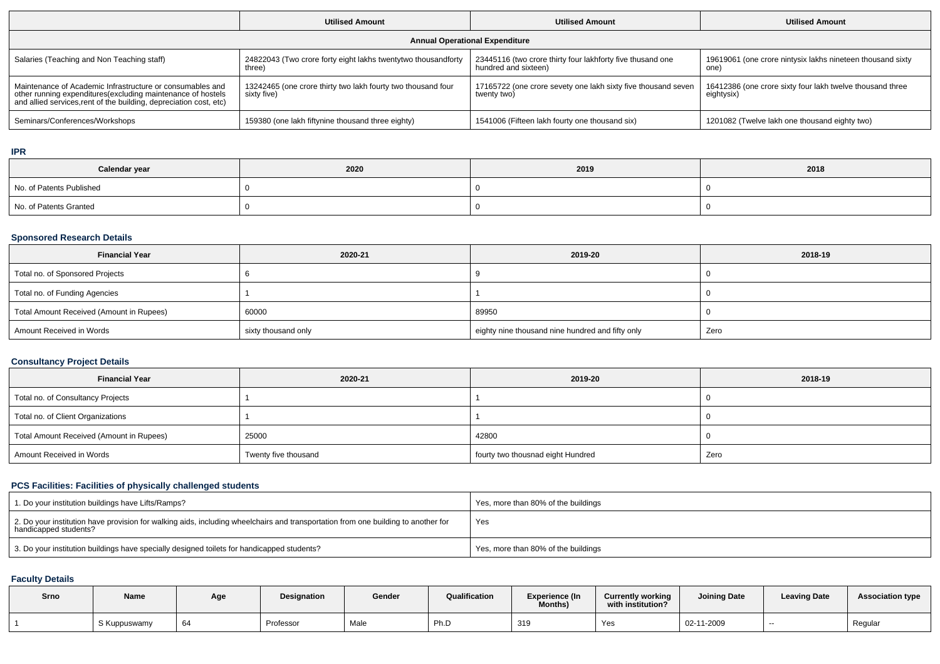|                                                                                                                                                                                                 | <b>Utilised Amount</b>                                                      | <b>Utilised Amount</b>                                                             | <b>Utilised Amount</b>                                                  |  |  |  |
|-------------------------------------------------------------------------------------------------------------------------------------------------------------------------------------------------|-----------------------------------------------------------------------------|------------------------------------------------------------------------------------|-------------------------------------------------------------------------|--|--|--|
| <b>Annual Operational Expenditure</b>                                                                                                                                                           |                                                                             |                                                                                    |                                                                         |  |  |  |
| Salaries (Teaching and Non Teaching staff)                                                                                                                                                      | 24822043 (Two crore forty eight lakhs twentytwo thousandforty<br>three)     | 23445116 (two crore thirty four lakhforty five thusand one<br>hundred and sixteen) | 19619061 (one crore nintysix lakhs nineteen thousand sixty<br>one)      |  |  |  |
| Maintenance of Academic Infrastructure or consumables and<br>other running expenditures (excluding maintenance of hostels<br>and allied services, rent of the building, depreciation cost, etc) | 13242465 (one crore thirty two lakh fourty two thousand four<br>sixty five) | 17165722 (one crore sevety one lakh sixty five thousand seven<br>twenty two)       | 16412386 (one crore sixty four lakh twelve thousand three<br>eightysix) |  |  |  |
| Seminars/Conferences/Workshops                                                                                                                                                                  | 159380 (one lakh fiftynine thousand three eighty)                           | 1541006 (Fifteen lakh fourty one thousand six)                                     | 1201082 (Twelve lakh one thousand eighty two)                           |  |  |  |

**IPR**

| Calendar year            | 2020 | 2019 | 2018 |
|--------------------------|------|------|------|
| No. of Patents Published |      |      |      |
| No. of Patents Granted   |      |      |      |

# **Sponsored Research Details**

| <b>Financial Year</b>                    | 2020-21             | 2019-20                                          | 2018-19 |
|------------------------------------------|---------------------|--------------------------------------------------|---------|
| Total no. of Sponsored Projects          |                     |                                                  |         |
| Total no. of Funding Agencies            |                     |                                                  |         |
| Total Amount Received (Amount in Rupees) | 60000               | 89950                                            |         |
| Amount Received in Words                 | sixty thousand only | eighty nine thousand nine hundred and fifty only | Zero    |

# **Consultancy Project Details**

| <b>Financial Year</b>                    | 2020-21              | 2019-20                           | 2018-19 |  |  |
|------------------------------------------|----------------------|-----------------------------------|---------|--|--|
| Total no. of Consultancy Projects        |                      |                                   |         |  |  |
| Total no. of Client Organizations        |                      |                                   |         |  |  |
| Total Amount Received (Amount in Rupees) | 25000                | 42800                             |         |  |  |
| Amount Received in Words                 | Twenty five thousand | fourty two thousnad eight Hundred | Zero    |  |  |

# **PCS Facilities: Facilities of physically challenged students**

| 1. Do your institution buildings have Lifts/Ramps?                                                                                                         | Yes, more than 80% of the buildings |
|------------------------------------------------------------------------------------------------------------------------------------------------------------|-------------------------------------|
| 2. Do your institution have provision for walking aids, including wheelchairs and transportation from one building to another for<br>handicapped students? | Yes                                 |
| 3. Do your institution buildings have specially designed toilets for handicapped students?                                                                 | Yes, more than 80% of the buildings |

#### **Faculty Details**

| Srno | Name         | Ag€ | <b>Designation</b> | Gender | Qualification | Experience (In<br><b>Months)</b> | <b>Currently working</b><br>with institution? | <b>Joining Date</b> | <b>Leaving Date</b> | <b>Association type</b> |
|------|--------------|-----|--------------------|--------|---------------|----------------------------------|-----------------------------------------------|---------------------|---------------------|-------------------------|
|      | S Kuppuswamy | 64  | Professor          | Male   | Ph.D          | 319                              | Yes                                           | 02-11-2009          | $- -$               | Regular                 |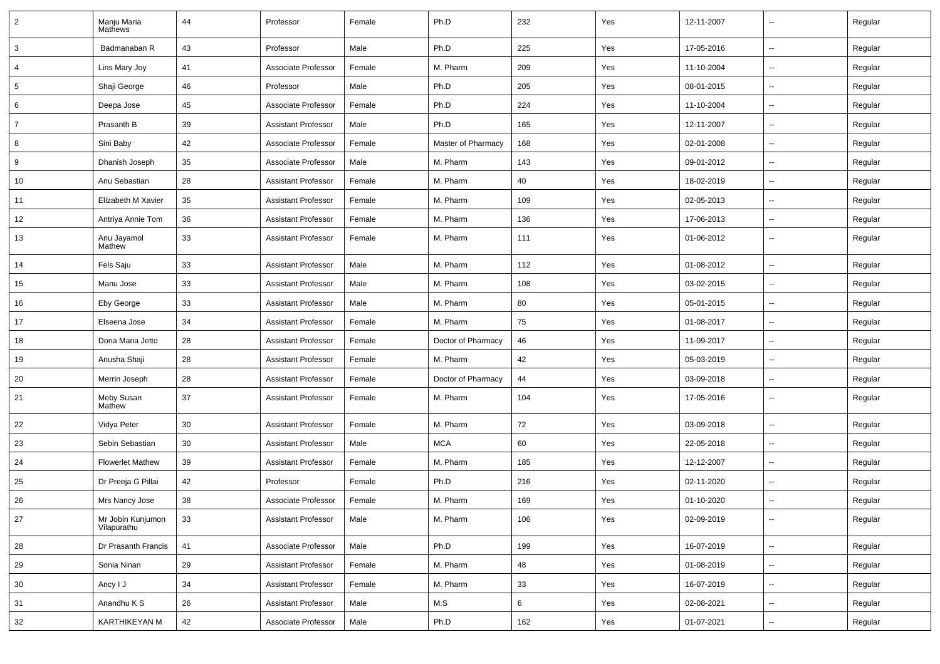| $\overline{2}$ | Manju Maria<br>Mathews           | 44 | Professor                  | Female | Ph.D               | 232 | Yes | 12-11-2007 | --                       | Regular |
|----------------|----------------------------------|----|----------------------------|--------|--------------------|-----|-----|------------|--------------------------|---------|
| 3              | Badmanaban R                     | 43 | Professor                  | Male   | Ph.D               | 225 | Yes | 17-05-2016 | ⊷.                       | Regular |
| 4              | Lins Mary Joy                    | 41 | Associate Professor        | Female | M. Pharm           | 209 | Yes | 11-10-2004 | --                       | Regular |
| $\sqrt{5}$     | Shaji George                     | 46 | Professor                  | Male   | Ph.D               | 205 | Yes | 08-01-2015 | --                       | Regular |
| 6              | Deepa Jose                       | 45 | Associate Professor        | Female | Ph.D               | 224 | Yes | 11-10-2004 | --                       | Regular |
| $\overline{7}$ | Prasanth B                       | 39 | <b>Assistant Professor</b> | Male   | Ph.D               | 165 | Yes | 12-11-2007 | --                       | Regular |
| 8              | Sini Baby                        | 42 | Associate Professor        | Female | Master of Pharmacy | 168 | Yes | 02-01-2008 | ⊷.                       | Regular |
| 9              | Dhanish Joseph                   | 35 | Associate Professor        | Male   | M. Pharm           | 143 | Yes | 09-01-2012 | ⊶.                       | Regular |
| 10             | Anu Sebastian                    | 28 | <b>Assistant Professor</b> | Female | M. Pharm           | 40  | Yes | 18-02-2019 | --                       | Regular |
| 11             | Elizabeth M Xavier               | 35 | <b>Assistant Professor</b> | Female | M. Pharm           | 109 | Yes | 02-05-2013 | --                       | Regular |
| 12             | Antriya Annie Tom                | 36 | <b>Assistant Professor</b> | Female | M. Pharm           | 136 | Yes | 17-06-2013 | --                       | Regular |
| 13             | Anu Jayamol<br>Mathew            | 33 | <b>Assistant Professor</b> | Female | M. Pharm           | 111 | Yes | 01-06-2012 | --                       | Regular |
| 14             | Fels Saju                        | 33 | <b>Assistant Professor</b> | Male   | M. Pharm           | 112 | Yes | 01-08-2012 | $\overline{a}$           | Regular |
| 15             | Manu Jose                        | 33 | <b>Assistant Professor</b> | Male   | M. Pharm           | 108 | Yes | 03-02-2015 | $\overline{\phantom{a}}$ | Regular |
| 16             | Eby George                       | 33 | <b>Assistant Professor</b> | Male   | M. Pharm           | 80  | Yes | 05-01-2015 | $\overline{\phantom{a}}$ | Regular |
| 17             | Elseena Jose                     | 34 | <b>Assistant Professor</b> | Female | M. Pharm           | 75  | Yes | 01-08-2017 | --                       | Regular |
| 18             | Dona Maria Jetto                 | 28 | <b>Assistant Professor</b> | Female | Doctor of Pharmacy | 46  | Yes | 11-09-2017 | --                       | Regular |
| 19             | Anusha Shaji                     | 28 | <b>Assistant Professor</b> | Female | M. Pharm           | 42  | Yes | 05-03-2019 | -−                       | Regular |
| 20             | Merrin Joseph                    | 28 | <b>Assistant Professor</b> | Female | Doctor of Pharmacy | 44  | Yes | 03-09-2018 | $\overline{a}$           | Regular |
| 21             | Meby Susan<br>Mathew             | 37 | <b>Assistant Professor</b> | Female | M. Pharm           | 104 | Yes | 17-05-2016 | ⊷.                       | Regular |
| 22             | Vidya Peter                      | 30 | <b>Assistant Professor</b> | Female | M. Pharm           | 72  | Yes | 03-09-2018 | -−                       | Regular |
| 23             | Sebin Sebastian                  | 30 | <b>Assistant Professor</b> | Male   | <b>MCA</b>         | 60  | Yes | 22-05-2018 | ⊶.                       | Regular |
| 24             | <b>Flowerlet Mathew</b>          | 39 | <b>Assistant Professor</b> | Female | M. Pharm           | 185 | Yes | 12-12-2007 | -−                       | Regular |
| 25             | Dr Preeja G Pillai               | 42 | Professor                  | Female | Ph.D               | 216 | Yes | 02-11-2020 | Ξ.                       | Regular |
| 26             | Mrs Nancy Jose                   | 38 | Associate Professor        | Female | M. Pharm           | 169 | Yes | 01-10-2020 | --                       | Regular |
| 27             | Mr Jobin Kunjumon<br>Vilapurathu | 33 | <b>Assistant Professor</b> | Male   | M. Pharm           | 106 | Yes | 02-09-2019 | Щ,                       | Regular |
| 28             | Dr Prasanth Francis              | 41 | Associate Professor        | Male   | Ph.D               | 199 | Yes | 16-07-2019 | u.                       | Regular |
| 29             | Sonia Ninan                      | 29 | <b>Assistant Professor</b> | Female | M. Pharm           | 48  | Yes | 01-08-2019 | Щ,                       | Regular |
| 30             | Ancy I J                         | 34 | <b>Assistant Professor</b> | Female | M. Pharm           | 33  | Yes | 16-07-2019 | Щ,                       | Regular |
| 31             | Anandhu K S                      | 26 | <b>Assistant Professor</b> | Male   | M.S                | 6   | Yes | 02-08-2021 | $\overline{\phantom{a}}$ | Regular |
| 32             | KARTHIKEYAN M                    | 42 | Associate Professor        | Male   | Ph.D               | 162 | Yes | 01-07-2021 | $\sim$                   | Regular |